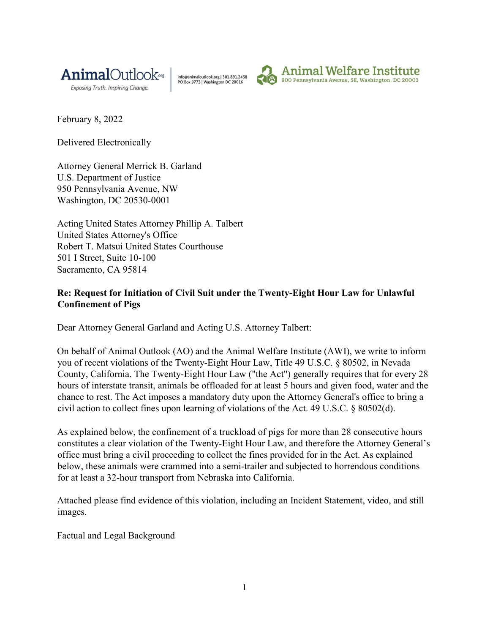

info@animaloutlook.org | 301.891.2458 PO Box 9773 | Washington DC 20016



**Animal Welfare Institute** 900 Pennsylvania Avenue, SE, Washington, DC 20003

February 8, 2022

Delivered Electronically

Attorney General Merrick B. Garland U.S. Department of Justice 950 Pennsylvania Avenue, NW Washington, DC 20530-0001

Acting United States Attorney Phillip A. Talbert United States Attorney's Office Robert T. Matsui United States Courthouse 501 I Street, Suite 10-100 Sacramento, CA 95814

## Re: Request for Initiation of Civil Suit under the Twenty-Eight Hour Law for Unlawful Confinement of Pigs

Dear Attorney General Garland and Acting U.S. Attorney Talbert:

On behalf of Animal Outlook (AO) and the Animal Welfare Institute (AWI), we write to inform you of recent violations of the Twenty-Eight Hour Law, Title 49 U.S.C. § 80502, in Nevada County, California. The Twenty-Eight Hour Law ("the Act") generally requires that for every 28 hours of interstate transit, animals be offloaded for at least 5 hours and given food, water and the chance to rest. The Act imposes a mandatory duty upon the Attorney General's office to bring a civil action to collect fines upon learning of violations of the Act. 49 U.S.C.  $\S 80502(d)$ .

As explained below, the confinement of a truckload of pigs for more than 28 consecutive hours constitutes a clear violation of the Twenty-Eight Hour Law, and therefore the Attorney General's office must bring a civil proceeding to collect the fines provided for in the Act. As explained below, these animals were crammed into a semi-trailer and subjected to horrendous conditions for at least a 32-hour transport from Nebraska into California.

Attached please find evidence of this violation, including an Incident Statement, video, and still images.

## Factual and Legal Background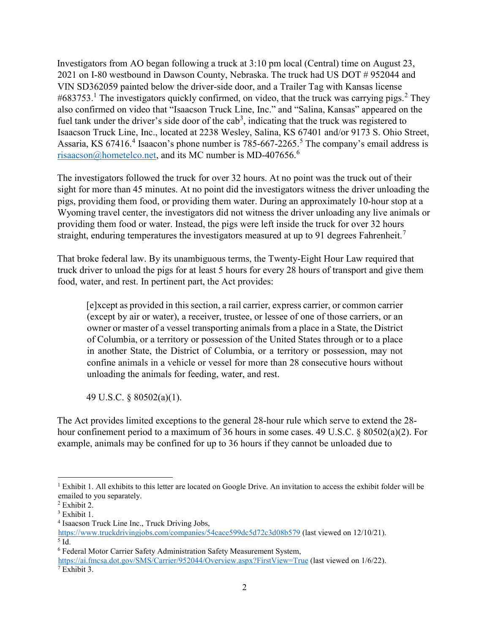Investigators from AO began following a truck at 3:10 pm local (Central) time on August 23, 2021 on I-80 westbound in Dawson County, Nebraska. The truck had US DOT # 952044 and VIN SD362059 painted below the driver-side door, and a Trailer Tag with Kansas license #683753.<sup>1</sup> The investigators quickly confirmed, on video, that the truck was carrying pigs.<sup>2</sup> They also confirmed on video that "Isaacson Truck Line, Inc." and "Salina, Kansas" appeared on the fuel tank under the driver's side door of the  $cab<sup>3</sup>$ , indicating that the truck was registered to Isaacson Truck Line, Inc., located at 2238 Wesley, Salina, KS 67401 and/or 9173 S. Ohio Street, Assaria, KS 67416.<sup>4</sup> Isaacon's phone number is 785-667-2265.<sup>5</sup> The company's email address is risaacson@hometelco.net, and its MC number is MD-407656.<sup>6</sup>

The investigators followed the truck for over 32 hours. At no point was the truck out of their sight for more than 45 minutes. At no point did the investigators witness the driver unloading the pigs, providing them food, or providing them water. During an approximately 10-hour stop at a Wyoming travel center, the investigators did not witness the driver unloading any live animals or providing them food or water. Instead, the pigs were left inside the truck for over 32 hours straight, enduring temperatures the investigators measured at up to 91 degrees Fahrenheit.<sup>7</sup>

That broke federal law. By its unambiguous terms, the Twenty-Eight Hour Law required that truck driver to unload the pigs for at least 5 hours for every 28 hours of transport and give them food, water, and rest. In pertinent part, the Act provides:

[e]xcept as provided in this section, a rail carrier, express carrier, or common carrier (except by air or water), a receiver, trustee, or lessee of one of those carriers, or an owner or master of a vessel transporting animals from a place in a State, the District of Columbia, or a territory or possession of the United States through or to a place in another State, the District of Columbia, or a territory or possession, may not confine animals in a vehicle or vessel for more than 28 consecutive hours without unloading the animals for feeding, water, and rest.

49 U.S.C. § 80502(a)(1).

The Act provides limited exceptions to the general 28-hour rule which serve to extend the 28 hour confinement period to a maximum of 36 hours in some cases. 49 U.S.C. § 80502(a)(2). For example, animals may be confined for up to 36 hours if they cannot be unloaded due to

 $\overline{a}$ 

<sup>&</sup>lt;sup>1</sup> Exhibit 1. All exhibits to this letter are located on Google Drive. An invitation to access the exhibit folder will be emailed to you separately.

<sup>2</sup> Exhibit 2.

<sup>&</sup>lt;sup>3</sup> Exhibit 1.

<sup>4</sup> Isaacson Truck Line Inc., Truck Driving Jobs,

https://www.truckdrivingjobs.com/companies/54cace599dc5d72c3d08b579 (last viewed on 12/10/21).  $<sup>5</sup>$  Id.</sup>

<sup>&</sup>lt;sup>6</sup> Federal Motor Carrier Safety Administration Safety Measurement System,

https://ai.fmcsa.dot.gov/SMS/Carrier/952044/Overview.aspx?FirstView=True (last viewed on 1/6/22). 7 Exhibit 3.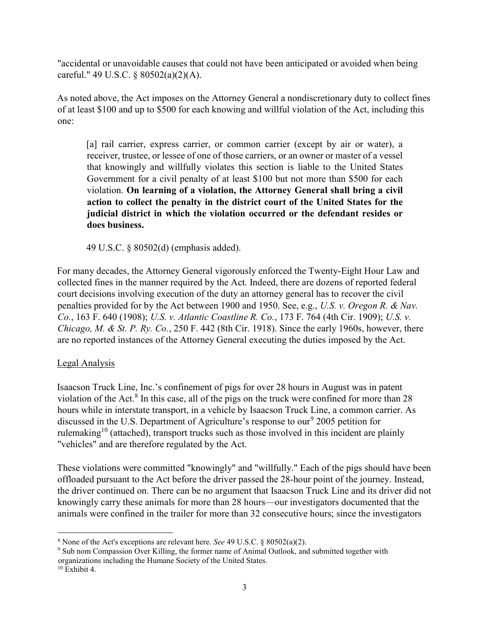"accidental or unavoidable causes that could not have been anticipated or avoided when being careful." 49 U.S.C. § 80502(a)(2)(A).

As noted above, the Act imposes on the Attorney General a nondiscretionary duty to collect fines of at least \$100 and up to \$500 for each knowing and willful violation of the Act, including this one:

[a] rail carrier, express carrier, or common carrier (except by air or water), a receiver, trustee, or lessee of one of those carriers, or an owner or master of a vessel that knowingly and willfully violates this section is liable to the United States Government for a civil penalty of at least \$100 but not more than \$500 for each violation. On learning of a violation, the Attorney General shall bring a civil action to collect the penalty in the district court of the United States for the judicial district in which the violation occurred or the defendant resides or does business.

49 U.S.C. § 80502(d) (emphasis added).

For many decades, the Attorney General vigorously enforced the Twenty-Eight Hour Law and collected fines in the manner required by the Act. Indeed, there are dozens of reported federal court decisions involving execution of the duty an attorney general has to recover the civil penalties provided for by the Act between 1900 and 1950. See, e.g., U.S. v. Oregon R. & Nav. Co., 163 F. 640 (1908); U.S. v. Atlantic Coastline R. Co., 173 F. 764 (4th Cir. 1909); U.S. v. Chicago, M. & St. P. Ry. Co., 250 F. 442 (8th Cir. 1918). Since the early 1960s, however, there are no reported instances of the Attorney General executing the duties imposed by the Act.

## Legal Analysis

Isaacson Truck Line, Inc.'s confinement of pigs for over 28 hours in August was in patent violation of the Act. $8$  In this case, all of the pigs on the truck were confined for more than 28 hours while in interstate transport, in a vehicle by Isaacson Truck Line, a common carrier. As discussed in the U.S. Department of Agriculture's response to our<sup>9</sup> 2005 petition for rulemaking<sup>10</sup> (attached), transport trucks such as those involved in this incident are plainly "vehicles" and are therefore regulated by the Act.

These violations were committed "knowingly" and "willfully." Each of the pigs should have been offloaded pursuant to the Act before the driver passed the 28-hour point of the journey. Instead, the driver continued on. There can be no argument that Isaacson Truck Line and its driver did not knowingly carry these animals for more than 28 hours—our investigators documented that the animals were confined in the trailer for more than 32 consecutive hours; since the investigators

 $\overline{a}$ <sup>8</sup> None of the Act's exceptions are relevant here. See 49 U.S.C.  $\S 80502(a)(2)$ .

<sup>&</sup>lt;sup>9</sup> Sub nom Compassion Over Killing, the former name of Animal Outlook, and submitted together with organizations including the Humane Society of the United States.

 $10$  Exhibit 4.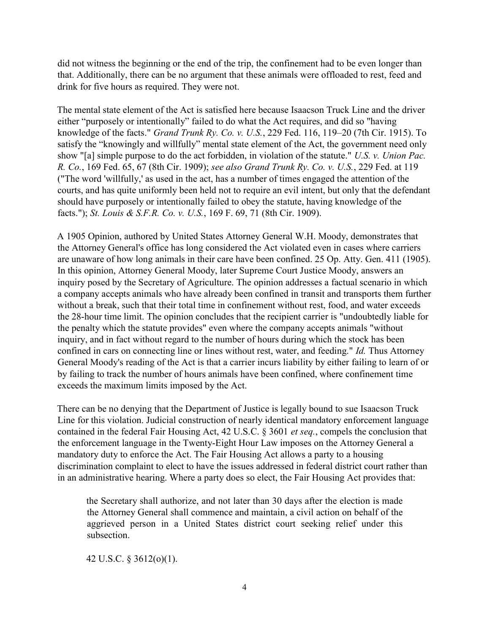did not witness the beginning or the end of the trip, the confinement had to be even longer than that. Additionally, there can be no argument that these animals were offloaded to rest, feed and drink for five hours as required. They were not.

The mental state element of the Act is satisfied here because Isaacson Truck Line and the driver either "purposely or intentionally" failed to do what the Act requires, and did so "having knowledge of the facts." Grand Trunk Ry. Co. v. U.S., 229 Fed. 116, 119–20 (7th Cir. 1915). To satisfy the "knowingly and willfully" mental state element of the Act, the government need only show "[a] simple purpose to do the act forbidden, in violation of the statute." U.S. v. Union Pac. R. Co., 169 Fed. 65, 67 (8th Cir. 1909); see also Grand Trunk Ry. Co. v. U.S., 229 Fed. at 119 ("The word 'willfully,' as used in the act, has a number of times engaged the attention of the courts, and has quite uniformly been held not to require an evil intent, but only that the defendant should have purposely or intentionally failed to obey the statute, having knowledge of the facts."); St. Louis & S.F.R. Co. v. U.S., 169 F. 69, 71 (8th Cir. 1909).

A 1905 Opinion, authored by United States Attorney General W.H. Moody, demonstrates that the Attorney General's office has long considered the Act violated even in cases where carriers are unaware of how long animals in their care have been confined. 25 Op. Atty. Gen. 411 (1905). In this opinion, Attorney General Moody, later Supreme Court Justice Moody, answers an inquiry posed by the Secretary of Agriculture. The opinion addresses a factual scenario in which a company accepts animals who have already been confined in transit and transports them further without a break, such that their total time in confinement without rest, food, and water exceeds the 28-hour time limit. The opinion concludes that the recipient carrier is "undoubtedly liable for the penalty which the statute provides" even where the company accepts animals "without inquiry, and in fact without regard to the number of hours during which the stock has been confined in cars on connecting line or lines without rest, water, and feeding." Id. Thus Attorney General Moody's reading of the Act is that a carrier incurs liability by either failing to learn of or by failing to track the number of hours animals have been confined, where confinement time exceeds the maximum limits imposed by the Act.

There can be no denying that the Department of Justice is legally bound to sue Isaacson Truck Line for this violation. Judicial construction of nearly identical mandatory enforcement language contained in the federal Fair Housing Act, 42 U.S.C. § 3601 et seq., compels the conclusion that the enforcement language in the Twenty-Eight Hour Law imposes on the Attorney General a mandatory duty to enforce the Act. The Fair Housing Act allows a party to a housing discrimination complaint to elect to have the issues addressed in federal district court rather than in an administrative hearing. Where a party does so elect, the Fair Housing Act provides that:

the Secretary shall authorize, and not later than 30 days after the election is made the Attorney General shall commence and maintain, a civil action on behalf of the aggrieved person in a United States district court seeking relief under this subsection.

42 U.S.C. § 3612(o)(1).